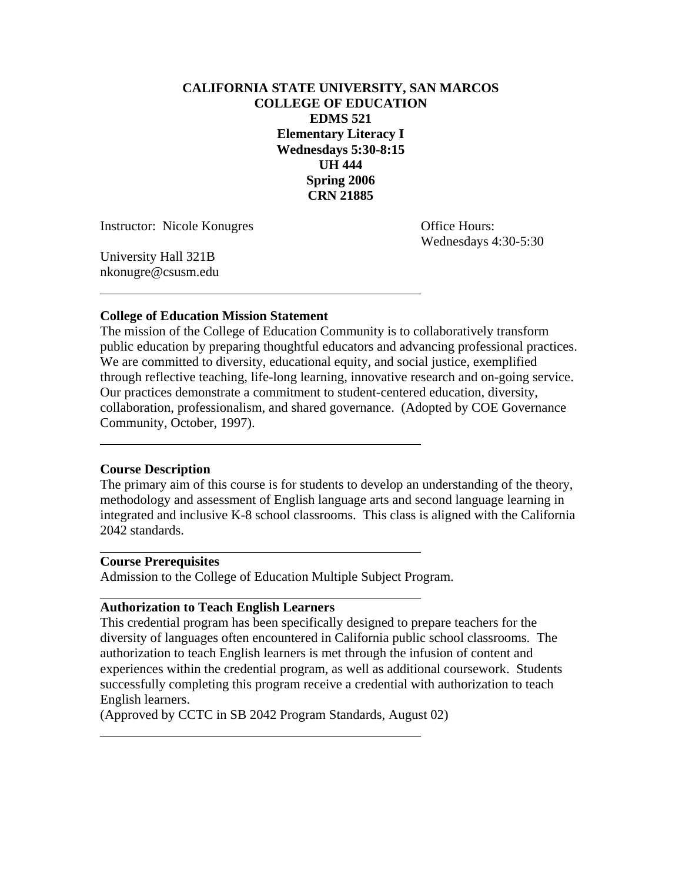# **CALIFORNIA STATE UNIVERSITY, SAN MARCOS COLLEGE OF EDUCATION EDMS 521 Elementary Literacy I Wednesdays 5:30-8:15 UH 444 Spring 2006 CRN 21885**

Instructor: Nicole Konugres **Office Hours:** 

Wednesdays 4:30-5:30

University Hall 321B nkonugre@csusm.edu

 $\overline{a}$ 

 $\overline{a}$ 

 $\overline{a}$ 

 $\overline{a}$ 

 $\overline{a}$ 

## **College of Education Mission Statement**

The mission of the College of Education Community is to collaboratively transform public education by preparing thoughtful educators and advancing professional practices. We are committed to diversity, educational equity, and social justice, exemplified through reflective teaching, life-long learning, innovative research and on-going service. Our practices demonstrate a commitment to student-centered education, diversity, collaboration, professionalism, and shared governance. (Adopted by COE Governance Community, October, 1997).

## **Course Description**

The primary aim of this course is for students to develop an understanding of the theory, methodology and assessment of English language arts and second language learning in integrated and inclusive K-8 school classrooms. This class is aligned with the California 2042 standards.

### **Course Prerequisites**

Admission to the College of Education Multiple Subject Program.

### **Authorization to Teach English Learners**

This credential program has been specifically designed to prepare teachers for the diversity of languages often encountered in California public school classrooms. The authorization to teach English learners is met through the infusion of content and experiences within the credential program, as well as additional coursework. Students successfully completing this program receive a credential with authorization to teach English learners.

(Approved by CCTC in SB 2042 Program Standards, August 02)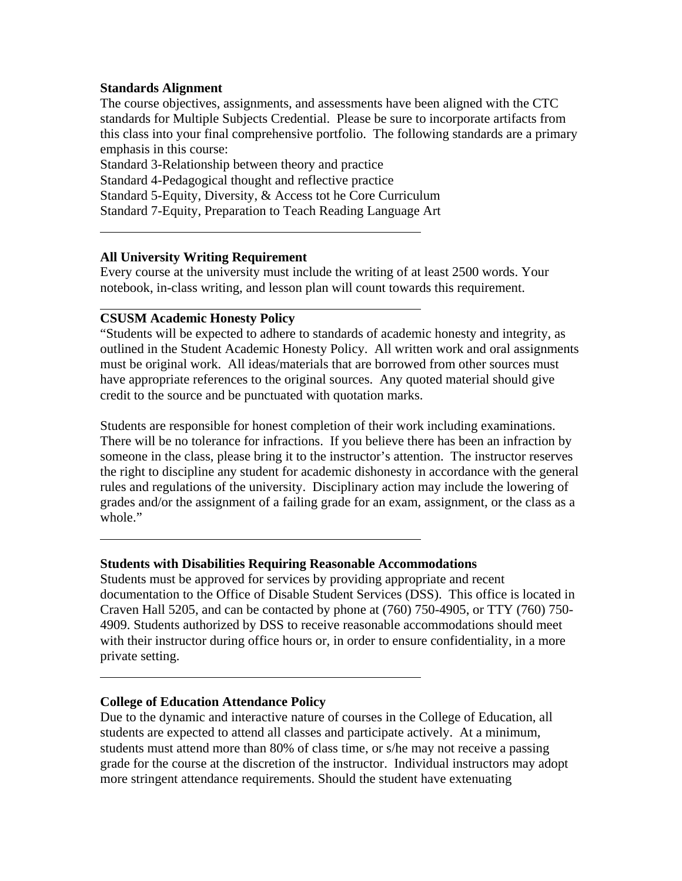## **Standards Alignment**

 $\overline{a}$ 

 $\overline{a}$ 

 $\overline{a}$ 

 $\overline{a}$ 

The course objectives, assignments, and assessments have been aligned with the CTC standards for Multiple Subjects Credential. Please be sure to incorporate artifacts from this class into your final comprehensive portfolio. The following standards are a primary emphasis in this course:

Standard 3-Relationship between theory and practice Standard 4-Pedagogical thought and reflective practice Standard 5-Equity, Diversity, & Access tot he Core Curriculum Standard 7-Equity, Preparation to Teach Reading Language Art

## **All University Writing Requirement**

Every course at the university must include the writing of at least 2500 words. Your notebook, in-class writing, and lesson plan will count towards this requirement.

### **CSUSM Academic Honesty Policy**

"Students will be expected to adhere to standards of academic honesty and integrity, as outlined in the Student Academic Honesty Policy. All written work and oral assignments must be original work. All ideas/materials that are borrowed from other sources must have appropriate references to the original sources. Any quoted material should give credit to the source and be punctuated with quotation marks.

Students are responsible for honest completion of their work including examinations. There will be no tolerance for infractions. If you believe there has been an infraction by someone in the class, please bring it to the instructor's attention. The instructor reserves the right to discipline any student for academic dishonesty in accordance with the general rules and regulations of the university. Disciplinary action may include the lowering of grades and/or the assignment of a failing grade for an exam, assignment, or the class as a whole."

### **Students with Disabilities Requiring Reasonable Accommodations**

Students must be approved for services by providing appropriate and recent documentation to the Office of Disable Student Services (DSS). This office is located in Craven Hall 5205, and can be contacted by phone at (760) 750-4905, or TTY (760) 750- 4909. Students authorized by DSS to receive reasonable accommodations should meet with their instructor during office hours or, in order to ensure confidentiality, in a more private setting.

### **College of Education Attendance Policy**

Due to the dynamic and interactive nature of courses in the College of Education, all students are expected to attend all classes and participate actively. At a minimum, students must attend more than 80% of class time, or s/he may not receive a passing grade for the course at the discretion of the instructor. Individual instructors may adopt more stringent attendance requirements. Should the student have extenuating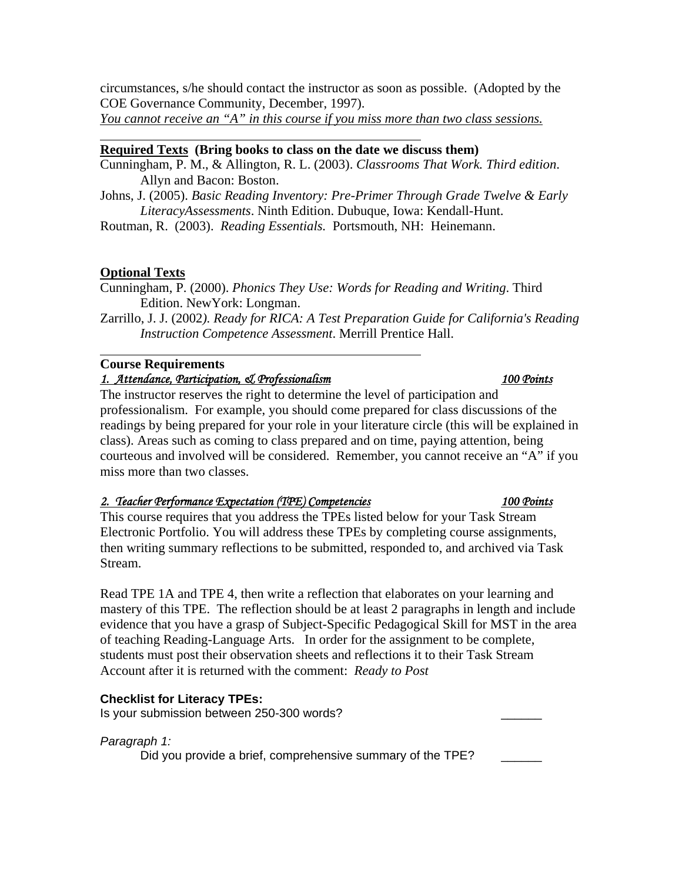circumstances, s/he should contact the instructor as soon as possible. (Adopted by the COE Governance Community, December, 1997).

*You cannot receive an "A" in this course if you miss more than two class sessions.*

# **Required Texts (Bring books to class on the date we discuss them)**

- Cunningham, P. M., & Allington, R. L. (2003). *Classrooms That Work. Third edition*. Allyn and Bacon: Boston.
- Johns, J. (2005). *Basic Reading Inventory: Pre-Primer Through Grade Twelve & Early LiteracyAssessments*. Ninth Edition. Dubuque, Iowa: Kendall-Hunt.

Routman, R. (2003). *Reading Essentials.* Portsmouth, NH: Heinemann.

# **Optional Texts**

 $\overline{a}$ 

 $\overline{a}$ 

Cunningham, P. (2000). *Phonics They Use: Words for Reading and Writing*. Third Edition. NewYork: Longman.

Zarrillo, J. J. (2002*). Ready for RICA: A Test Preparation Guide for California's Reading Instruction Competence Assessment*. Merrill Prentice Hall.

# **Course Requirements**

## *1. Attendance, Participation, & Professionalism 100 Points*

The instructor reserves the right to determine the level of participation and professionalism. For example, you should come prepared for class discussions of the readings by being prepared for your role in your literature circle (this will be explained in class). Areas such as coming to class prepared and on time, paying attention, being courteous and involved will be considered. Remember, you cannot receive an "A" if you miss more than two classes.

## *2. Teacher Performance Expectation (TPE) Competencies 100 Points*

This course requires that you address the TPEs listed below for your Task Stream Electronic Portfolio. You will address these TPEs by completing course assignments, then writing summary reflections to be submitted, responded to, and archived via Task Stream.

Read TPE 1A and TPE 4, then write a reflection that elaborates on your learning and mastery of this TPE. The reflection should be at least 2 paragraphs in length and include evidence that you have a grasp of Subject-Specific Pedagogical Skill for MST in the area of teaching Reading-Language Arts. In order for the assignment to be complete, students must post their observation sheets and reflections it to their Task Stream Account after it is returned with the comment: *Ready to Post* 

## **Checklist for Literacy TPEs:**

Is your submission between 250-300 words?

## *Paragraph 1:*

Did you provide a brief, comprehensive summary of the TPE?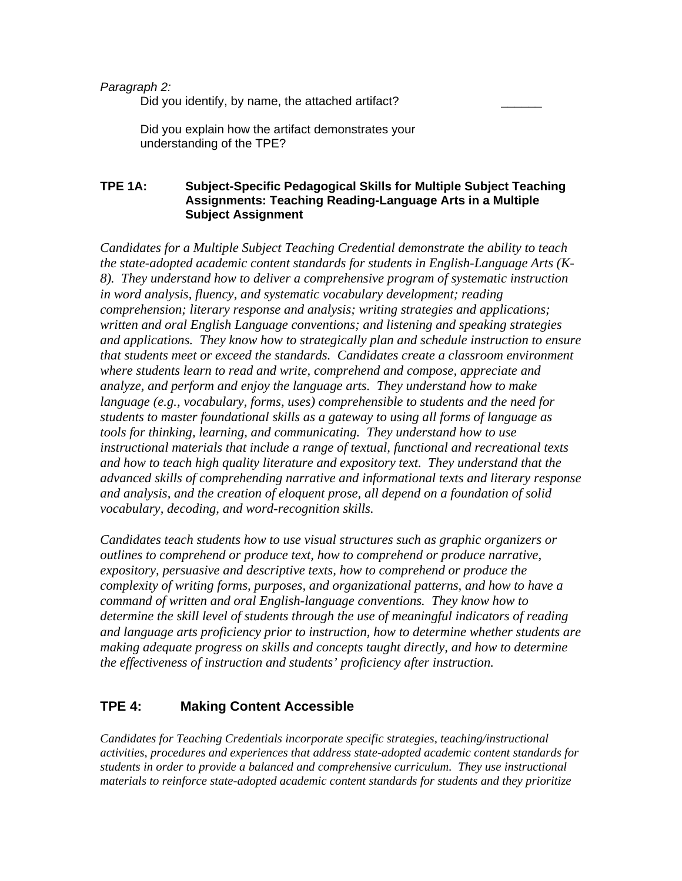### *Paragraph 2:*

Did you identify, by name, the attached artifact?

 Did you explain how the artifact demonstrates your understanding of the TPE?

## **TPE 1A: Subject-Specific Pedagogical Skills for Multiple Subject Teaching Assignments: Teaching Reading-Language Arts in a Multiple Subject Assignment**

*Candidates for a Multiple Subject Teaching Credential demonstrate the ability to teach the state-adopted academic content standards for students in English-Language Arts (K-8). They understand how to deliver a comprehensive program of systematic instruction in word analysis, fluency, and systematic vocabulary development; reading comprehension; literary response and analysis; writing strategies and applications; written and oral English Language conventions; and listening and speaking strategies and applications. They know how to strategically plan and schedule instruction to ensure that students meet or exceed the standards. Candidates create a classroom environment where students learn to read and write, comprehend and compose, appreciate and analyze, and perform and enjoy the language arts. They understand how to make language (e.g., vocabulary, forms, uses) comprehensible to students and the need for students to master foundational skills as a gateway to using all forms of language as tools for thinking, learning, and communicating. They understand how to use instructional materials that include a range of textual, functional and recreational texts and how to teach high quality literature and expository text. They understand that the advanced skills of comprehending narrative and informational texts and literary response and analysis, and the creation of eloquent prose, all depend on a foundation of solid vocabulary, decoding, and word-recognition skills.* 

*Candidates teach students how to use visual structures such as graphic organizers or outlines to comprehend or produce text, how to comprehend or produce narrative, expository, persuasive and descriptive texts, how to comprehend or produce the complexity of writing forms, purposes, and organizational patterns, and how to have a command of written and oral English-language conventions. They know how to determine the skill level of students through the use of meaningful indicators of reading and language arts proficiency prior to instruction, how to determine whether students are making adequate progress on skills and concepts taught directly, and how to determine the effectiveness of instruction and students' proficiency after instruction.* 

# **TPE 4: Making Content Accessible**

*Candidates for Teaching Credentials incorporate specific strategies, teaching/instructional activities, procedures and experiences that address state-adopted academic content standards for students in order to provide a balanced and comprehensive curriculum. They use instructional materials to reinforce state-adopted academic content standards for students and they prioritize*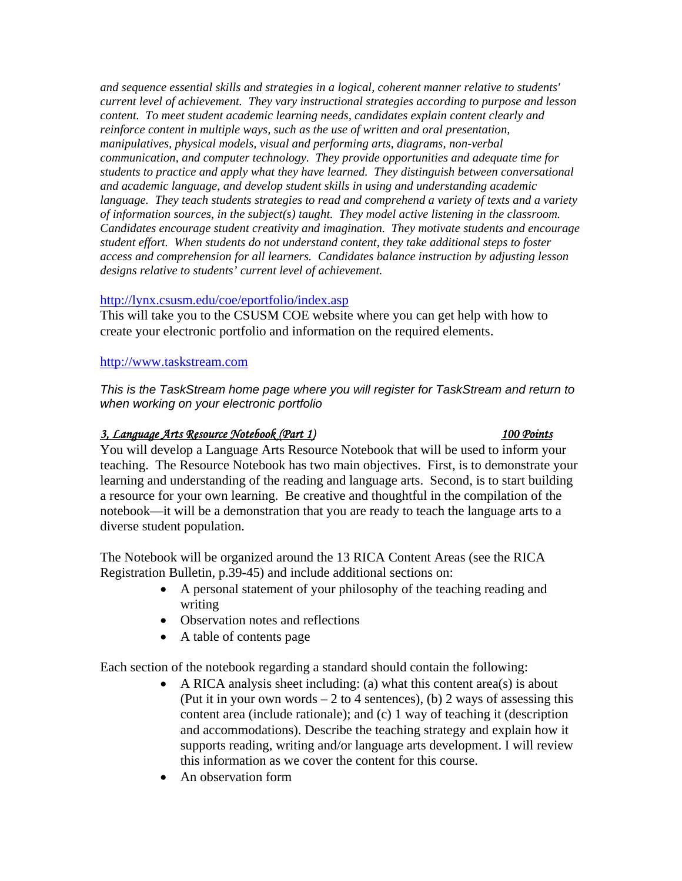*and sequence essential skills and strategies in a logical, coherent manner relative to students' current level of achievement. They vary instructional strategies according to purpose and lesson content. To meet student academic learning needs, candidates explain content clearly and reinforce content in multiple ways, such as the use of written and oral presentation, manipulatives, physical models, visual and performing arts, diagrams, non-verbal communication, and computer technology. They provide opportunities and adequate time for students to practice and apply what they have learned. They distinguish between conversational and academic language, and develop student skills in using and understanding academic language. They teach students strategies to read and comprehend a variety of texts and a variety of information sources, in the subject(s) taught. They model active listening in the classroom. Candidates encourage student creativity and imagination. They motivate students and encourage student effort. When students do not understand content, they take additional steps to foster access and comprehension for all learners. Candidates balance instruction by adjusting lesson designs relative to students' current level of achievement.* 

## http://lynx.csusm.edu/coe/eportfolio/index.asp

This will take you to the CSUSM COE website where you can get help with how to create your electronic portfolio and information on the required elements.

## http://www.taskstream.com

*This is the TaskStream home page where you will register for TaskStream and return to when working on your electronic portfolio* 

# *3, Language Arts Resource Notebook (Part 1) 100 Points*

You will develop a Language Arts Resource Notebook that will be used to inform your teaching. The Resource Notebook has two main objectives. First, is to demonstrate your learning and understanding of the reading and language arts. Second, is to start building a resource for your own learning. Be creative and thoughtful in the compilation of the notebook—it will be a demonstration that you are ready to teach the language arts to a diverse student population.

The Notebook will be organized around the 13 RICA Content Areas (see the RICA Registration Bulletin, p.39-45) and include additional sections on:

- A personal statement of your philosophy of the teaching reading and writing
- Observation notes and reflections
- A table of contents page

Each section of the notebook regarding a standard should contain the following:

- A RICA analysis sheet including: (a) what this content area(s) is about (Put it in your own words  $-2$  to 4 sentences), (b) 2 ways of assessing this content area (include rationale); and (c) 1 way of teaching it (description and accommodations). Describe the teaching strategy and explain how it supports reading, writing and/or language arts development. I will review this information as we cover the content for this course.
- An observation form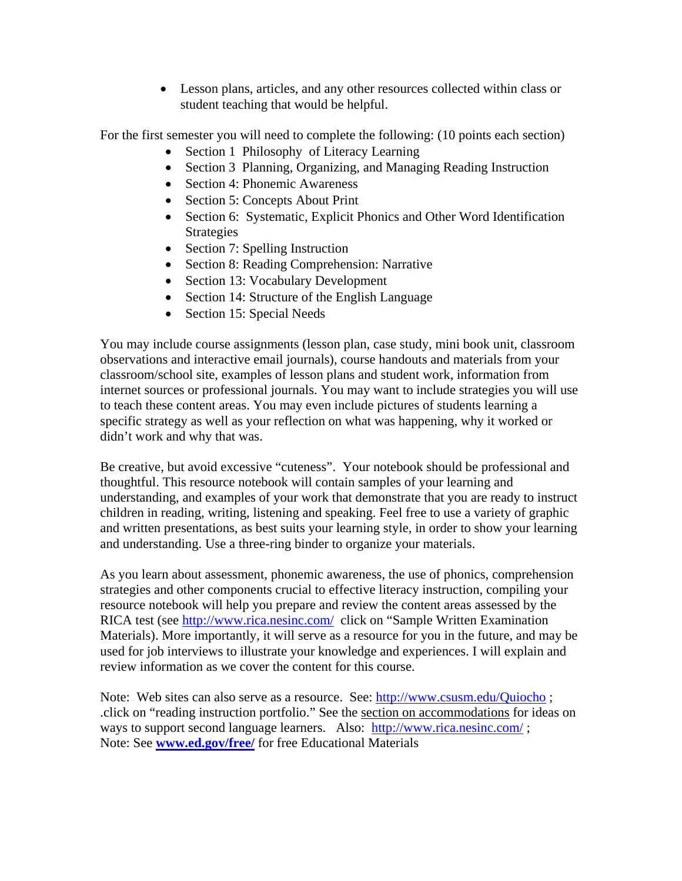• Lesson plans, articles, and any other resources collected within class or student teaching that would be helpful.

For the first semester you will need to complete the following: (10 points each section)

- Section 1 Philosophy of Literacy Learning
- Section 3 Planning, Organizing, and Managing Reading Instruction
- Section 4: Phonemic Awareness
- Section 5: Concepts About Print
- Section 6: Systematic, Explicit Phonics and Other Word Identification Strategies
- Section 7: Spelling Instruction
- Section 8: Reading Comprehension: Narrative
- Section 13: Vocabulary Development
- Section 14: Structure of the English Language
- Section 15: Special Needs

You may include course assignments (lesson plan, case study, mini book unit, classroom observations and interactive email journals), course handouts and materials from your classroom/school site, examples of lesson plans and student work, information from internet sources or professional journals. You may want to include strategies you will use to teach these content areas. You may even include pictures of students learning a specific strategy as well as your reflection on what was happening, why it worked or didn't work and why that was.

Be creative, but avoid excessive "cuteness". Your notebook should be professional and thoughtful. This resource notebook will contain samples of your learning and understanding, and examples of your work that demonstrate that you are ready to instruct children in reading, writing, listening and speaking. Feel free to use a variety of graphic and written presentations, as best suits your learning style, in order to show your learning and understanding. Use a three-ring binder to organize your materials.

As you learn about assessment, phonemic awareness, the use of phonics, comprehension strategies and other components crucial to effective literacy instruction, compiling your resource notebook will help you prepare and review the content areas assessed by the RICA test (see http://www.rica.nesinc.com/ click on "Sample Written Examination Materials). More importantly, it will serve as a resource for you in the future, and may be used for job interviews to illustrate your knowledge and experiences. I will explain and review information as we cover the content for this course.

Note: Web sites can also serve as a resource. See: http://www.csusm.edu/Quiocho ; .click on "reading instruction portfolio." See the section on accommodations for ideas on ways to support second language learners. Also: http://www.rica.nesinc.com/; Note: See **www.ed.gov/free/** for free Educational Materials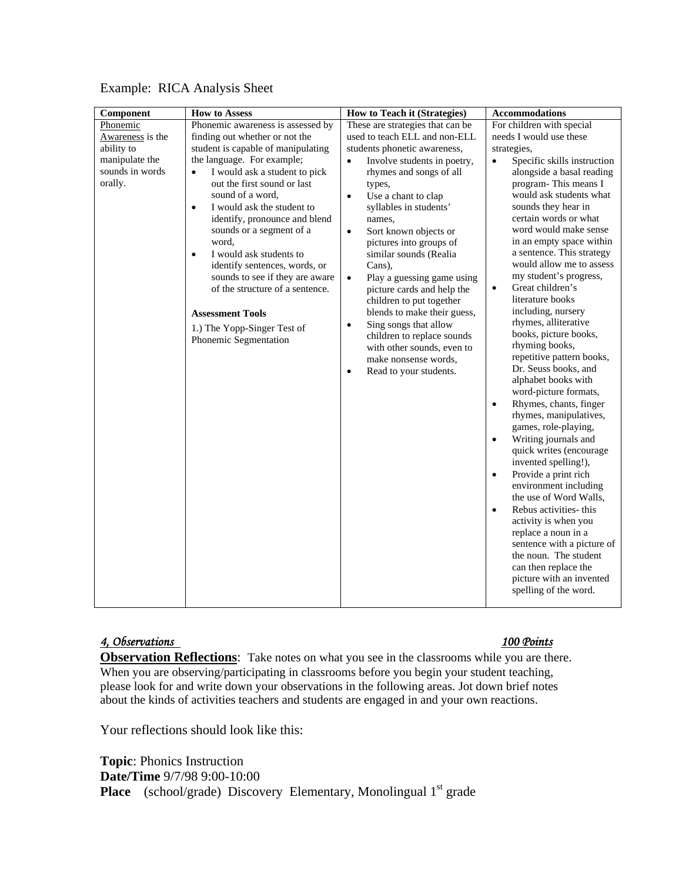| Component        | <b>How to Assess</b>                                               | How to Teach it (Strategies)                           | <b>Accommodations</b>                                 |  |
|------------------|--------------------------------------------------------------------|--------------------------------------------------------|-------------------------------------------------------|--|
| Phonemic         | Phonemic awareness is assessed by                                  | These are strategies that can be                       | For children with special                             |  |
| Awareness is the | finding out whether or not the                                     | used to teach ELL and non-ELL                          | needs I would use these                               |  |
| ability to       | student is capable of manipulating                                 | students phonetic awareness,                           | strategies,                                           |  |
| manipulate the   | the language. For example;                                         | Involve students in poetry,<br>$\bullet$               | Specific skills instruction<br>$\bullet$              |  |
| sounds in words  | I would ask a student to pick<br>$\bullet$                         | rhymes and songs of all                                | alongside a basal reading                             |  |
| orally.          | out the first sound or last                                        | types,                                                 | program-This means I                                  |  |
|                  | sound of a word,                                                   | Use a chant to clap<br>$\bullet$                       | would ask students what                               |  |
|                  | I would ask the student to<br>$\bullet$                            | syllables in students'                                 | sounds they hear in                                   |  |
|                  | identify, pronounce and blend                                      | names,                                                 | certain words or what                                 |  |
|                  | sounds or a segment of a                                           | Sort known objects or<br>$\bullet$                     | word would make sense                                 |  |
|                  | word,                                                              | pictures into groups of                                | in an empty space within<br>a sentence. This strategy |  |
|                  | I would ask students to<br>$\bullet$                               | similar sounds (Realia                                 | would allow me to assess                              |  |
|                  | identify sentences, words, or                                      | Cans),                                                 | my student's progress,                                |  |
|                  | sounds to see if they are aware<br>of the structure of a sentence. | Play a guessing game using<br>$\bullet$                | Great children's<br>$\bullet$                         |  |
|                  |                                                                    | picture cards and help the<br>children to put together | literature books                                      |  |
|                  | <b>Assessment Tools</b>                                            | blends to make their guess,                            | including, nursery                                    |  |
|                  |                                                                    | Sing songs that allow<br>$\bullet$                     | rhymes, alliterative                                  |  |
|                  | 1.) The Yopp-Singer Test of                                        | children to replace sounds                             | books, picture books,                                 |  |
|                  | Phonemic Segmentation                                              | with other sounds, even to                             | rhyming books,                                        |  |
|                  |                                                                    | make nonsense words.                                   | repetitive pattern books,                             |  |
|                  |                                                                    | Read to your students.<br>$\bullet$                    | Dr. Seuss books, and                                  |  |
|                  |                                                                    |                                                        | alphabet books with                                   |  |
|                  |                                                                    |                                                        | word-picture formats,                                 |  |
|                  |                                                                    |                                                        | Rhymes, chants, finger<br>$\bullet$                   |  |
|                  |                                                                    |                                                        | rhymes, manipulatives,                                |  |
|                  |                                                                    |                                                        | games, role-playing,                                  |  |
|                  |                                                                    |                                                        | Writing journals and<br>$\bullet$                     |  |
|                  |                                                                    |                                                        | quick writes (encourage                               |  |
|                  |                                                                    |                                                        | invented spelling!),                                  |  |
|                  |                                                                    |                                                        | Provide a print rich<br>$\bullet$                     |  |
|                  |                                                                    |                                                        | environment including                                 |  |
|                  |                                                                    |                                                        | the use of Word Walls.                                |  |
|                  |                                                                    |                                                        | Rebus activities-this<br>$\bullet$                    |  |
|                  |                                                                    |                                                        | activity is when you                                  |  |
|                  |                                                                    |                                                        | replace a noun in a                                   |  |
|                  |                                                                    |                                                        | sentence with a picture of                            |  |
|                  |                                                                    |                                                        | the noun. The student                                 |  |
|                  |                                                                    |                                                        | can then replace the                                  |  |
|                  |                                                                    |                                                        | picture with an invented                              |  |
|                  |                                                                    |                                                        | spelling of the word.                                 |  |

# Example: RICA Analysis Sheet

## *4, Observations 100 Points*

**Observation Reflections**: Take notes on what you see in the classrooms while you are there. When you are observing/participating in classrooms before you begin your student teaching, please look for and write down your observations in the following areas. Jot down brief notes about the kinds of activities teachers and students are engaged in and your own reactions.

Your reflections should look like this:

**Topic**: Phonics Instruction **Date/Time** 9/7/98 9:00-10:00 **Place** (school/grade) Discovery Elementary, Monolingual 1<sup>st</sup> grade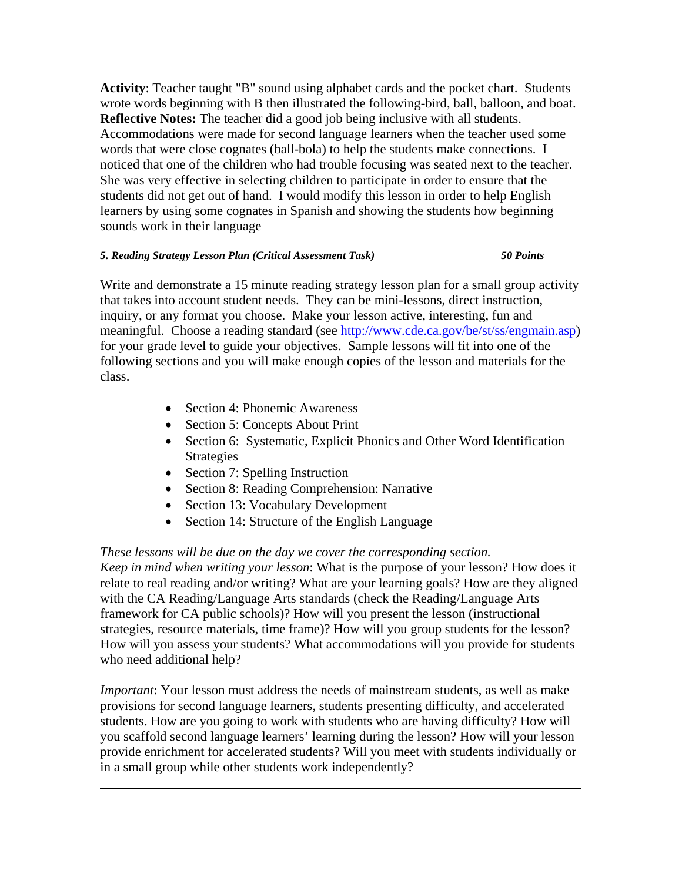**Activity**: Teacher taught "B" sound using alphabet cards and the pocket chart. Students wrote words beginning with B then illustrated the following-bird, ball, balloon, and boat. **Reflective Notes:** The teacher did a good job being inclusive with all students. Accommodations were made for second language learners when the teacher used some words that were close cognates (ball-bola) to help the students make connections. I noticed that one of the children who had trouble focusing was seated next to the teacher. She was very effective in selecting children to participate in order to ensure that the students did not get out of hand. I would modify this lesson in order to help English learners by using some cognates in Spanish and showing the students how beginning sounds work in their language

### *5. Reading Strategy Lesson Plan (Critical Assessment Task) 50 Points*

Write and demonstrate a 15 minute reading strategy lesson plan for a small group activity that takes into account student needs. They can be mini-lessons, direct instruction, inquiry, or any format you choose. Make your lesson active, interesting, fun and meaningful. Choose a reading standard (see http://www.cde.ca.gov/be/st/ss/engmain.asp) for your grade level to guide your objectives. Sample lessons will fit into one of the following sections and you will make enough copies of the lesson and materials for the class.

- Section 4: Phonemic Awareness
- Section 5: Concepts About Print
- Section 6: Systematic, Explicit Phonics and Other Word Identification Strategies
- Section 7: Spelling Instruction

 $\overline{a}$ 

- Section 8: Reading Comprehension: Narrative
- Section 13: Vocabulary Development
- Section 14: Structure of the English Language

# *These lessons will be due on the day we cover the corresponding section.*

*Keep in mind when writing your lesson*: What is the purpose of your lesson? How does it relate to real reading and/or writing? What are your learning goals? How are they aligned with the CA Reading/Language Arts standards (check the Reading/Language Arts framework for CA public schools)? How will you present the lesson (instructional strategies, resource materials, time frame)? How will you group students for the lesson? How will you assess your students? What accommodations will you provide for students who need additional help?

*Important*: Your lesson must address the needs of mainstream students, as well as make provisions for second language learners, students presenting difficulty, and accelerated students. How are you going to work with students who are having difficulty? How will you scaffold second language learners' learning during the lesson? How will your lesson provide enrichment for accelerated students? Will you meet with students individually or in a small group while other students work independently?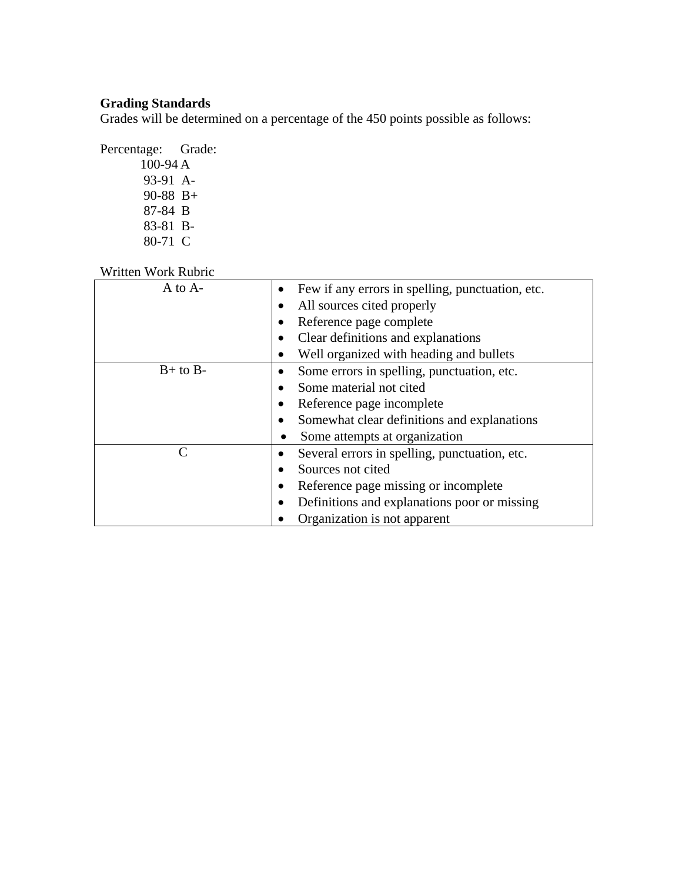# **Grading Standards**

Grades will be determined on a percentage of the 450 points possible as follows:

Percentage: Grade: 100-94 A 93-91 A-90-88 B+ 87-84 B 83-81 B-80-71C

Written Work Rubric

| A to A-                     | Few if any errors in spelling, punctuation, etc. |  |
|-----------------------------|--------------------------------------------------|--|
|                             | All sources cited properly                       |  |
|                             | Reference page complete                          |  |
|                             | Clear definitions and explanations               |  |
|                             | Well organized with heading and bullets          |  |
| $B+$ to $B-$                | Some errors in spelling, punctuation, etc.       |  |
|                             | Some material not cited                          |  |
|                             | Reference page incomplete                        |  |
|                             | Somewhat clear definitions and explanations      |  |
|                             | Some attempts at organization                    |  |
| $\mathcal{C}_{\mathcal{C}}$ | Several errors in spelling, punctuation, etc.    |  |
|                             | Sources not cited                                |  |
|                             | Reference page missing or incomplete             |  |
|                             | Definitions and explanations poor or missing     |  |
|                             | Organization is not apparent                     |  |